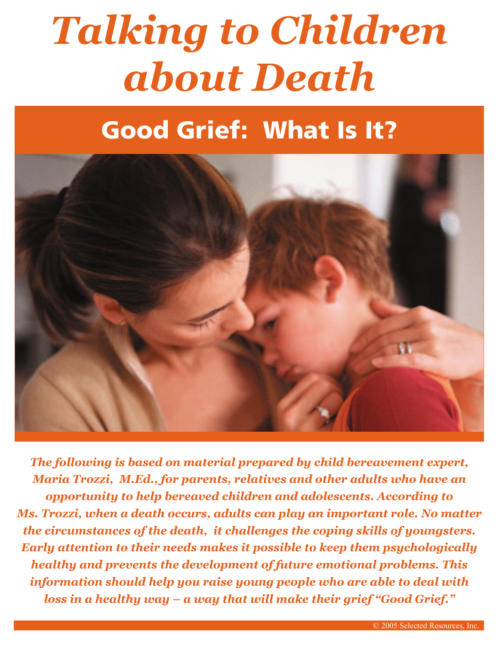# *Talking to Children about Death*

# Good Grief: What Is It?



*The following is based on material prepared by child bereavement expert, Maria Trozzi, M.Ed., for parents, relatives and other adults who have an opportunity to help bereaved children and adolescents. According to Ms. Trozzi, when a death occurs, adults can play an important role. No matter the circumstances of the death, it challenges the coping skills of youngsters. Early attention to their needs makes it possible to keep them psychologically healthy and prevents the development of future emotional problems. This information should help you raise young people who are able to deal with loss in a healthy way – a way that will make their grief "Good Grief."*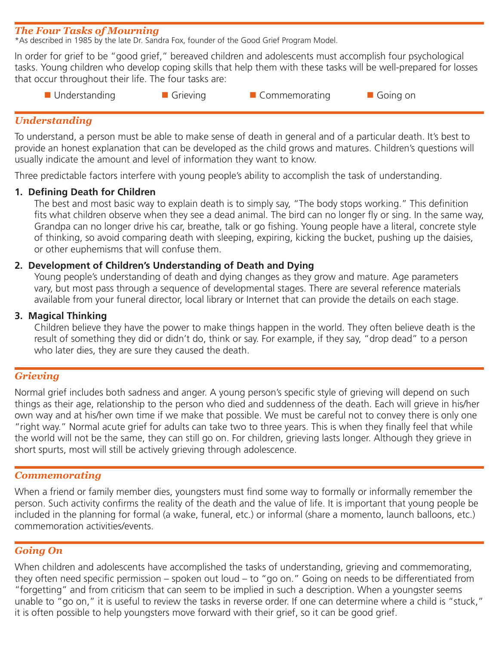#### *The Four Tasks of Mourning*

\*As described in 1985 by the late Dr. Sandra Fox, founder of the Good Grief Program Model.

In order for grief to be "good grief," bereaved children and adolescents must accomplish four psychological tasks. Young children who develop coping skills that help them with these tasks will be well-prepared for losses that occur throughout their life. The four tasks are:

- 
- 

■ Understanding 
■ Grieving 
■ Commemorating 
■ Going on

#### *Understanding*

To understand, a person must be able to make sense of death in general and of a particular death. It's best to provide an honest explanation that can be developed as the child grows and matures. Children's questions will usually indicate the amount and level of information they want to know.

Three predictable factors interfere with young people's ability to accomplish the task of understanding.

#### **1. Defining Death for Children**

The best and most basic way to explain death is to simply say, "The body stops working." This definition fits what children observe when they see a dead animal. The bird can no longer fly or sing. In the same way, Grandpa can no longer drive his car, breathe, talk or go fishing. Young people have a literal, concrete style of thinking, so avoid comparing death with sleeping, expiring, kicking the bucket, pushing up the daisies, or other euphemisms that will confuse them.

#### **2. Development of Children's Understanding of Death and Dying**

 Young people's understanding of death and dying changes as they grow and mature. Age parameters vary, but most pass through a sequence of developmental stages. There are several reference materials available from your funeral director, local library or Internet that can provide the details on each stage.

#### **3. Magical Thinking**

 Children believe they have the power to make things happen in the world. They often believe death is the result of something they did or didn't do, think or say. For example, if they say, "drop dead" to a person who later dies, they are sure they caused the death.

#### *Grieving*

Normal grief includes both sadness and anger. A young person's specific style of grieving will depend on such things as their age, relationship to the person who died and suddenness of the death. Each will grieve in his/her own way and at his/her own time if we make that possible. We must be careful not to convey there is only one "right way." Normal acute grief for adults can take two to three years. This is when they finally feel that while the world will not be the same, they can still go on. For children, grieving lasts longer. Although they grieve in short spurts, most will still be actively grieving through adolescence.

#### *Commemorating*

When a friend or family member dies, youngsters must find some way to formally or informally remember the person. Such activity confirms the reality of the death and the value of life. It is important that young people be included in the planning for formal (a wake, funeral, etc.) or informal (share a momento, launch balloons, etc.) commemoration activities/events.

#### *Going On*

When children and adolescents have accomplished the tasks of understanding, grieving and commemorating, they often need specific permission – spoken out loud – to "go on." Going on needs to be differentiated from "forgetting" and from criticism that can seem to be implied in such a description. When a youngster seems unable to "go on," it is useful to review the tasks in reverse order. If one can determine where a child is "stuck," it is often possible to help youngsters move forward with their grief, so it can be good grief.